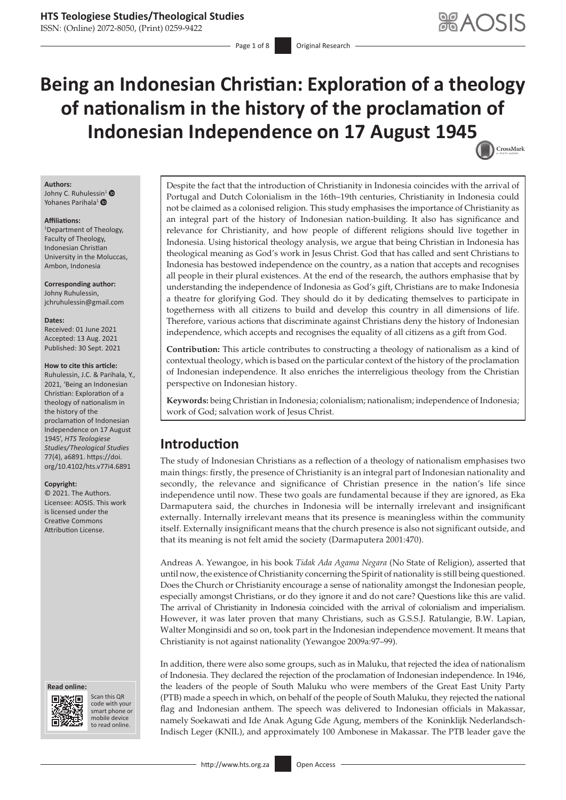ISSN: (Online) 2072-8050, (Print) 0259-9422

Page 1 of 8 **Original Research** 

# **Being an Indonesian Christian: Exploration of a theology of nationalism in the history of the proclamation of Indonesian Independence on 17 August 194[5](http://crossmark.crossref.org/dialog/?doi=10.4102/hts.v77i4.6891=pdf&date_stamp=2021-09-30)** CrossMark

#### **Authors:**

Johny C. Ruhules[sin](https://orcid.org/0000-0001-9213-5030)<sup>1</sup> Yohanes Parihala<sup>1</sup>  $\bullet$ 

#### **Affiliations:**

1 Department of Theology, Faculty of Theology, Indonesian Christian University in the Moluccas, Ambon, Indonesia

**Corresponding author:** Johny Ruhulessin, [jchruhulessin@gmail.com](mailto:jchruhulessin@gmail.com)

#### **Dates:**

Received: 01 June 2021 Accepted: 13 Aug. 2021 Published: 30 Sept. 2021

#### **How to cite this article:**

Ruhulessin, J.C. & Parihala, Y., 2021, 'Being an Indonesian Christian: Exploration of a theology of nationalism in the history of the proclamation of Indonesian Independence on 17 August 1945', *HTS Teologiese Studies/Theological Studies* 77(4), a6891. [https://doi.](https://doi.org/10.4102/hts.v77i4.6891) [org/10.4102/hts.v77i4.6891](https://doi.org/10.4102/hts.v77i4.6891)

#### **Copyright:**

© 2021. The Authors. Licensee: AOSIS. This work is licensed under the Creative Commons Attribution License.

#### **Read online: Read online:**



Scan this QR code with your Scan this QR<br>code with your<br>smart phone or<br>mobile device mobile device to read online. to read online.

Despite the fact that the introduction of Christianity in Indonesia coincides with the arrival of Portugal and Dutch Colonialism in the 16th–19th centuries, Christianity in Indonesia could not be claimed as a colonised religion. This study emphasises the importance of Christianity as an integral part of the history of Indonesian nation-building. It also has significance and relevance for Christianity, and how people of different religions should live together in Indonesia. Using historical theology analysis, we argue that being Christian in Indonesia has theological meaning as God's work in Jesus Christ. God that has called and sent Christians to Indonesia has bestowed independence on the country, as a nation that accepts and recognises all people in their plural existences. At the end of the research, the authors emphasise that by understanding the independence of Indonesia as God's gift, Christians are to make Indonesia a theatre for glorifying God. They should do it by dedicating themselves to participate in togetherness with all citizens to build and develop this country in all dimensions of life. Therefore, various actions that discriminate against Christians deny the history of Indonesian independence, which accepts and recognises the equality of all citizens as a gift from God.

**Contribution:** This article contributes to constructing a theology of nationalism as a kind of contextual theology, which is based on the particular context of the history of the proclamation of Indonesian independence. It also enriches the interreligious theology from the Christian perspective on Indonesian history.

**Keywords:** being Christian in Indonesia; colonialism; nationalism; independence of Indonesia; work of God; salvation work of Jesus Christ.

## **Introduction**

The study of Indonesian Christians as a reflection of a theology of nationalism emphasises two main things: firstly, the presence of Christianity is an integral part of Indonesian nationality and secondly, the relevance and significance of Christian presence in the nation's life since independence until now. These two goals are fundamental because if they are ignored, as Eka Darmaputera said, the churches in Indonesia will be internally irrelevant and insignificant externally. Internally irrelevant means that its presence is meaningless within the community itself. Externally insignificant means that the church presence is also not significant outside, and that its meaning is not felt amid the society (Darmaputera 2001:470).

Andreas A. Yewangoe, in his book *Tidak Ada Agama Negara* (No State of Religion), asserted that until now, the existence of Christianity concerning the Spirit of nationality is still being questioned. Does the Church or Christianity encourage a sense of nationality amongst the Indonesian people, especially amongst Christians, or do they ignore it and do not care? Questions like this are valid. The arrival of Christianity in Indonesia coincided with the arrival of colonialism and imperialism. However, it was later proven that many Christians, such as G.S.S.J. Ratulangie, B.W. Lapian, Walter Monginsidi and so on, took part in the Indonesian independence movement. It means that Christianity is not against nationality (Yewangoe 2009a:97–99).

In addition, there were also some groups, such as in Maluku, that rejected the idea of nationalism of Indonesia. They declared the rejection of the proclamation of Indonesian independence. In 1946, the leaders of the people of South Maluku who were members of the Great East Unity Party (PTB) made a speech in which, on behalf of the people of South Maluku, they rejected the national flag and Indonesian anthem. The speech was delivered to Indonesian officials in Makassar, namely Soekawati and Ide Anak Agung Gde Agung, members of the Koninklijk Nederlandsch-Indisch Leger (KNIL), and approximately 100 Ambonese in Makassar. The PTB leader gave the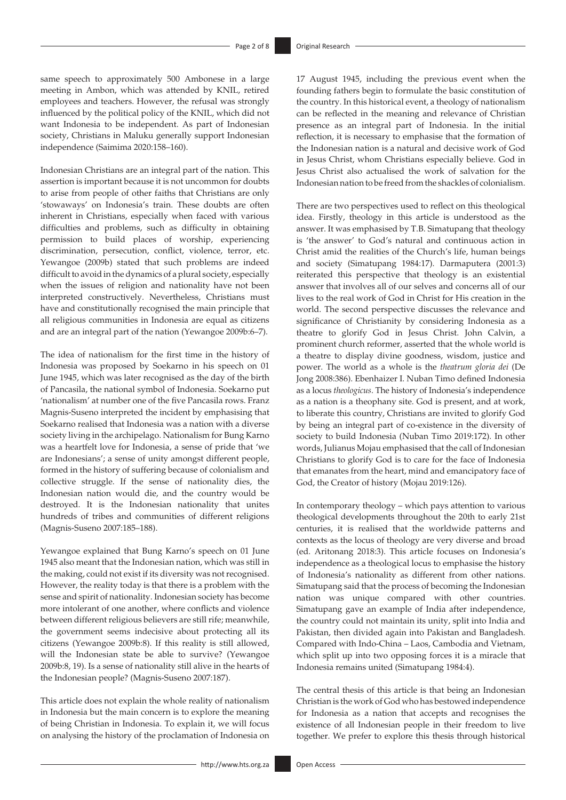same speech to approximately 500 Ambonese in a large meeting in Ambon, which was attended by KNIL, retired employees and teachers. However, the refusal was strongly influenced by the political policy of the KNIL, which did not want Indonesia to be independent. As part of Indonesian society, Christians in Maluku generally support Indonesian independence (Saimima 2020:158–160).

Indonesian Christians are an integral part of the nation. This assertion is important because it is not uncommon for doubts to arise from people of other faiths that Christians are only 'stowaways' on Indonesia's train. These doubts are often inherent in Christians, especially when faced with various difficulties and problems, such as difficulty in obtaining permission to build places of worship, experiencing discrimination, persecution, conflict, violence, terror, etc. Yewangoe (2009b) stated that such problems are indeed difficult to avoid in the dynamics of a plural society, especially when the issues of religion and nationality have not been interpreted constructively. Nevertheless, Christians must have and constitutionally recognised the main principle that all religious communities in Indonesia are equal as citizens and are an integral part of the nation (Yewangoe 2009b:6–7).

The idea of nationalism for the first time in the history of Indonesia was proposed by Soekarno in his speech on 01 June 1945, which was later recognised as the day of the birth of Pancasila, the national symbol of Indonesia. Soekarno put 'nationalism' at number one of the five Pancasila rows. Franz Magnis-Suseno interpreted the incident by emphasising that Soekarno realised that Indonesia was a nation with a diverse society living in the archipelago. Nationalism for Bung Karno was a heartfelt love for Indonesia, a sense of pride that 'we are Indonesians'; a sense of unity amongst different people, formed in the history of suffering because of colonialism and collective struggle. If the sense of nationality dies, the Indonesian nation would die, and the country would be destroyed. It is the Indonesian nationality that unites hundreds of tribes and communities of different religions (Magnis-Suseno 2007:185–188).

Yewangoe explained that Bung Karno's speech on 01 June 1945 also meant that the Indonesian nation, which was still in the making, could not exist if its diversity was not recognised. However, the reality today is that there is a problem with the sense and spirit of nationality. Indonesian society has become more intolerant of one another, where conflicts and violence between different religious believers are still rife; meanwhile, the government seems indecisive about protecting all its citizens (Yewangoe 2009b:8). If this reality is still allowed, will the Indonesian state be able to survive? (Yewangoe 2009b:8, 19). Is a sense of nationality still alive in the hearts of the Indonesian people? (Magnis-Suseno 2007:187).

This article does not explain the whole reality of nationalism in Indonesia but the main concern is to explore the meaning of being Christian in Indonesia. To explain it, we will focus on analysing the history of the proclamation of Indonesia on

17 August 1945, including the previous event when the founding fathers begin to formulate the basic constitution of the country. In this historical event, a theology of nationalism can be reflected in the meaning and relevance of Christian presence as an integral part of Indonesia. In the initial reflection, it is necessary to emphasise that the formation of the Indonesian nation is a natural and decisive work of God in Jesus Christ, whom Christians especially believe. God in Jesus Christ also actualised the work of salvation for the Indonesian nation to be freed from the shackles of colonialism.

There are two perspectives used to reflect on this theological idea. Firstly, theology in this article is understood as the answer. It was emphasised by T.B. Simatupang that theology is 'the answer' to God's natural and continuous action in Christ amid the realities of the Church's life, human beings and society (Simatupang 1984:17). Darmaputera (2001:3) reiterated this perspective that theology is an existential answer that involves all of our selves and concerns all of our lives to the real work of God in Christ for His creation in the world. The second perspective discusses the relevance and significance of Christianity by considering Indonesia as a theatre to glorify God in Jesus Christ. John Calvin, a prominent church reformer, asserted that the whole world is a theatre to display divine goodness, wisdom, justice and power. The world as a whole is the *theatrum gloria dei* (De Jong 2008:386). Ebenhaizer I. Nuban Timo defined Indonesia as a locus *theologicus*. The history of Indonesia's independence as a nation is a theophany site. God is present, and at work, to liberate this country, Christians are invited to glorify God by being an integral part of co-existence in the diversity of society to build Indonesia (Nuban Timo 2019:172). In other words, Julianus Mojau emphasised that the call of Indonesian Christians to glorify God is to care for the face of Indonesia that emanates from the heart, mind and emancipatory face of God, the Creator of history (Mojau 2019:126).

In contemporary theology – which pays attention to various theological developments throughout the 20th to early 21st centuries, it is realised that the worldwide patterns and contexts as the locus of theology are very diverse and broad (ed. Aritonang 2018:3). This article focuses on Indonesia's independence as a theological locus to emphasise the history of Indonesia's nationality as different from other nations. Simatupang said that the process of becoming the Indonesian nation was unique compared with other countries. Simatupang gave an example of India after independence, the country could not maintain its unity, split into India and Pakistan, then divided again into Pakistan and Bangladesh. Compared with Indo-China – Laos, Cambodia and Vietnam, which split up into two opposing forces it is a miracle that Indonesia remains united (Simatupang 1984:4).

The central thesis of this article is that being an Indonesian Christian is the work of God who has bestowed independence for Indonesia as a nation that accepts and recognises the existence of all Indonesian people in their freedom to live together. We prefer to explore this thesis through historical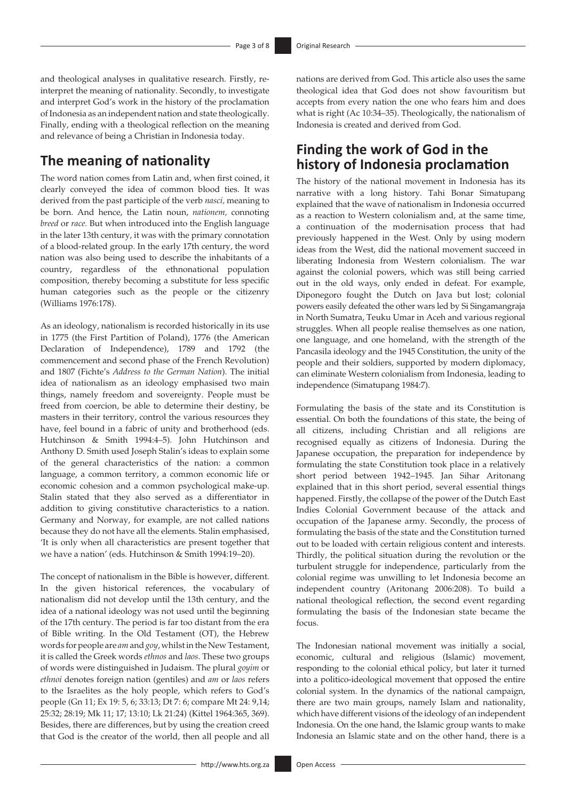and theological analyses in qualitative research. Firstly, reinterpret the meaning of nationality. Secondly, to investigate and interpret God's work in the history of the proclamation of Indonesia as an independent nation and state theologically. Finally, ending with a theological reflection on the meaning and relevance of being a Christian in Indonesia today.

## **The meaning of nationality**

The word nation comes from Latin and, when first coined, it clearly conveyed the idea of common blood ties. It was derived from the past participle of the verb *nasci,* meaning to be born. And hence, the Latin noun, *nationem,* connoting *breed* or *race.* But when introduced into the English language in the later 13th century, it was with the primary connotation of a blood-related group. In the early 17th century, the word nation was also being used to describe the inhabitants of a country, regardless of the ethnonational population composition, thereby becoming a substitute for less specific human categories such as the people or the citizenry (Williams 1976:178).

As an ideology, nationalism is recorded historically in its use in 1775 (the First Partition of Poland), 1776 (the American Declaration of Independence), 1789 and 1792 (the commencement and second phase of the French Revolution) and 1807 (Fichte's *Address to the German Nation*). The initial idea of nationalism as an ideology emphasised two main things, namely freedom and sovereignty. People must be freed from coercion, be able to determine their destiny, be masters in their territory, control the various resources they have, feel bound in a fabric of unity and brotherhood (eds. Hutchinson & Smith 1994:4–5). John Hutchinson and Anthony D. Smith used Joseph Stalin's ideas to explain some of the general characteristics of the nation: a common language, a common territory, a common economic life or economic cohesion and a common psychological make-up. Stalin stated that they also served as a differentiator in addition to giving constitutive characteristics to a nation. Germany and Norway, for example, are not called nations because they do not have all the elements. Stalin emphasised, 'It is only when all characteristics are present together that we have a nation' (eds. Hutchinson & Smith 1994:19–20).

The concept of nationalism in the Bible is however, different. In the given historical references, the vocabulary of nationalism did not develop until the 13th century, and the idea of a national ideology was not used until the beginning of the 17th century. The period is far too distant from the era of Bible writing. In the Old Testament (OT), the Hebrew words for people are *am* and *goy*, whilst in the New Testament, it is called the Greek words *ethnos* and *laos*. These two groups of words were distinguished in Judaism. The plural *goyim* or *ethnoi* denotes foreign nation (gentiles) and *am* or *laos* refers to the Israelites as the holy people, which refers to God's people (Gn 11; Ex 19: 5, 6; 33:13; Dt 7: 6; compare Mt 24: 9,14; 25:32; 28:19; Mk 11; 17; 13:10; Lk 21:24) (Kittel 1964:365, 369). Besides, there are differences, but by using the creation creed that God is the creator of the world, then all people and all

nations are derived from God. This article also uses the same theological idea that God does not show favouritism but accepts from every nation the one who fears him and does what is right (Ac 10:34–35). Theologically, the nationalism of Indonesia is created and derived from God.

## **Finding the work of God in the history of Indonesia proclamation**

The history of the national movement in Indonesia has its narrative with a long history. Tahi Bonar Simatupang explained that the wave of nationalism in Indonesia occurred as a reaction to Western colonialism and, at the same time, a continuation of the modernisation process that had previously happened in the West. Only by using modern ideas from the West, did the national movement succeed in liberating Indonesia from Western colonialism. The war against the colonial powers, which was still being carried out in the old ways, only ended in defeat. For example, Diponegoro fought the Dutch on Java but lost; colonial powers easily defeated the other wars led by Si Singamangraja in North Sumatra, Teuku Umar in Aceh and various regional struggles. When all people realise themselves as one nation, one language, and one homeland, with the strength of the Pancasila ideology and the 1945 Constitution, the unity of the people and their soldiers, supported by modern diplomacy, can eliminate Western colonialism from Indonesia, leading to independence (Simatupang 1984:7).

Formulating the basis of the state and its Constitution is essential. On both the foundations of this state, the being of all citizens, including Christian and all religions are recognised equally as citizens of Indonesia. During the Japanese occupation, the preparation for independence by formulating the state Constitution took place in a relatively short period between 1942–1945. Jan Sihar Aritonang explained that in this short period, several essential things happened. Firstly, the collapse of the power of the Dutch East Indies Colonial Government because of the attack and occupation of the Japanese army. Secondly, the process of formulating the basis of the state and the Constitution turned out to be loaded with certain religious content and interests. Thirdly, the political situation during the revolution or the turbulent struggle for independence, particularly from the colonial regime was unwilling to let Indonesia become an independent country (Aritonang 2006:208). To build a national theological reflection, the second event regarding formulating the basis of the Indonesian state became the focus.

The Indonesian national movement was initially a social, economic, cultural and religious (Islamic) movement, responding to the colonial ethical policy, but later it turned into a politico-ideological movement that opposed the entire colonial system. In the dynamics of the national campaign, there are two main groups, namely Islam and nationality, which have different visions of the ideology of an independent Indonesia. On the one hand, the Islamic group wants to make Indonesia an Islamic state and on the other hand, there is a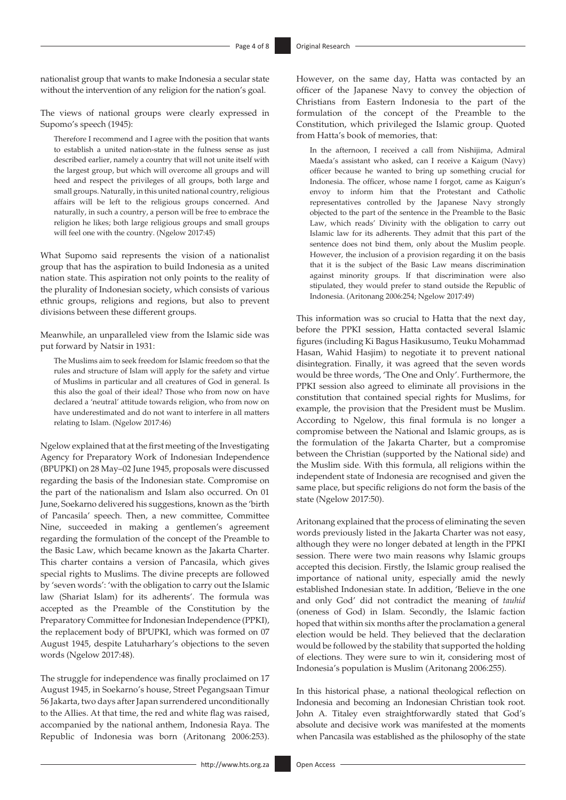nationalist group that wants to make Indonesia a secular state without the intervention of any religion for the nation's goal.

The views of national groups were clearly expressed in Supomo's speech (1945):

Therefore I recommend and I agree with the position that wants to establish a united nation-state in the fulness sense as just described earlier, namely a country that will not unite itself with the largest group, but which will overcome all groups and will heed and respect the privileges of all groups, both large and small groups. Naturally, in this united national country, religious affairs will be left to the religious groups concerned. And naturally, in such a country, a person will be free to embrace the religion he likes; both large religious groups and small groups will feel one with the country. (Ngelow 2017:45)

What Supomo said represents the vision of a nationalist group that has the aspiration to build Indonesia as a united nation state. This aspiration not only points to the reality of the plurality of Indonesian society, which consists of various ethnic groups, religions and regions, but also to prevent divisions between these different groups.

Meanwhile, an unparalleled view from the Islamic side was put forward by Natsir in 1931:

The Muslims aim to seek freedom for Islamic freedom so that the rules and structure of Islam will apply for the safety and virtue of Muslims in particular and all creatures of God in general. Is this also the goal of their ideal? Those who from now on have declared a 'neutral' attitude towards religion, who from now on have underestimated and do not want to interfere in all matters relating to Islam. (Ngelow 2017:46)

Ngelow explained that at the first meeting of the Investigating Agency for Preparatory Work of Indonesian Independence (BPUPKI) on 28 May–02 June 1945, proposals were discussed regarding the basis of the Indonesian state. Compromise on the part of the nationalism and Islam also occurred. On 01 June, Soekarno delivered his suggestions, known as the 'birth of Pancasila' speech. Then, a new committee, Committee Nine, succeeded in making a gentlemen's agreement regarding the formulation of the concept of the Preamble to the Basic Law, which became known as the Jakarta Charter. This charter contains a version of Pancasila, which gives special rights to Muslims. The divine precepts are followed by 'seven words': 'with the obligation to carry out the Islamic law (Shariat Islam) for its adherents'. The formula was accepted as the Preamble of the Constitution by the Preparatory Committee for Indonesian Independence (PPKI), the replacement body of BPUPKI, which was formed on 07 August 1945, despite Latuharhary's objections to the seven words (Ngelow 2017:48).

The struggle for independence was finally proclaimed on 17 August 1945, in Soekarno's house, Street Pegangsaan Timur 56 Jakarta, two days after Japan surrendered unconditionally to the Allies. At that time, the red and white flag was raised, accompanied by the national anthem, Indonesia Raya. The Republic of Indonesia was born (Aritonang 2006:253).

However, on the same day, Hatta was contacted by an officer of the Japanese Navy to convey the objection of Christians from Eastern Indonesia to the part of the formulation of the concept of the Preamble to the Constitution, which privileged the Islamic group. Quoted from Hatta's book of memories, that:

In the afternoon, I received a call from Nishijima, Admiral Maeda's assistant who asked, can I receive a Kaigum (Navy) officer because he wanted to bring up something crucial for Indonesia. The officer, whose name I forgot, came as Kaigun's envoy to inform him that the Protestant and Catholic representatives controlled by the Japanese Navy strongly objected to the part of the sentence in the Preamble to the Basic Law, which reads' Divinity with the obligation to carry out Islamic law for its adherents. They admit that this part of the sentence does not bind them, only about the Muslim people. However, the inclusion of a provision regarding it on the basis that it is the subject of the Basic Law means discrimination against minority groups. If that discrimination were also stipulated, they would prefer to stand outside the Republic of Indonesia. (Aritonang 2006:254; Ngelow 2017:49)

This information was so crucial to Hatta that the next day, before the PPKI session, Hatta contacted several Islamic figures (including Ki Bagus Hasikusumo, Teuku Mohammad Hasan, Wahid Hasjim) to negotiate it to prevent national disintegration. Finally, it was agreed that the seven words would be three words, 'The One and Only'. Furthermore, the PPKI session also agreed to eliminate all provisions in the constitution that contained special rights for Muslims, for example, the provision that the President must be Muslim. According to Ngelow, this final formula is no longer a compromise between the National and Islamic groups, as is the formulation of the Jakarta Charter, but a compromise between the Christian (supported by the National side) and the Muslim side. With this formula, all religions within the independent state of Indonesia are recognised and given the same place, but specific religions do not form the basis of the state (Ngelow 2017:50).

Aritonang explained that the process of eliminating the seven words previously listed in the Jakarta Charter was not easy, although they were no longer debated at length in the PPKI session. There were two main reasons why Islamic groups accepted this decision. Firstly, the Islamic group realised the importance of national unity, especially amid the newly established Indonesian state. In addition, 'Believe in the one and only God' did not contradict the meaning of *tauhid* (oneness of God) in Islam. Secondly, the Islamic faction hoped that within six months after the proclamation a general election would be held. They believed that the declaration would be followed by the stability that supported the holding of elections. They were sure to win it, considering most of Indonesia's population is Muslim (Aritonang 2006:255).

In this historical phase, a national theological reflection on Indonesia and becoming an Indonesian Christian took root. John A. Titaley even straightforwardly stated that God's absolute and decisive work was manifested at the moments when Pancasila was established as the philosophy of the state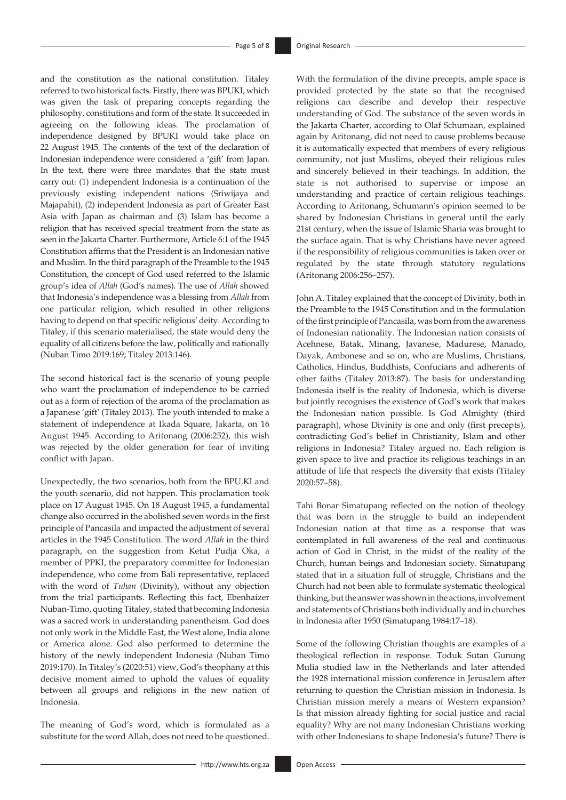and the constitution as the national constitution. Titaley referred to two historical facts. Firstly, there was BPUKI, which was given the task of preparing concepts regarding the philosophy, constitutions and form of the state. It succeeded in agreeing on the following ideas. The proclamation of independence designed by BPUKI would take place on 22 August 1945. The contents of the text of the declaration of Indonesian independence were considered a 'gift' from Japan. In the text, there were three mandates that the state must carry out: (1) independent Indonesia is a continuation of the previously existing independent nations (Sriwijaya and Majapahit), (2) independent Indonesia as part of Greater East Asia with Japan as chairman and (3) Islam has become a religion that has received special treatment from the state as seen in the Jakarta Charter. Furthermore, Article 6:1 of the 1945 Constitution affirms that the President is an Indonesian native and Muslim. In the third paragraph of the Preamble to the 1945 Constitution, the concept of God used referred to the Islamic group's idea of *Allah* (God's names). The use of *Allah* showed that Indonesia's independence was a blessing from *Allah* from one particular religion, which resulted in other religions having to depend on that specific religious' deity. According to Titaley, if this scenario materialised, the state would deny the equality of all citizens before the law, politically and nationally (Nuban Timo 2019:169; Titaley 2013:146).

The second historical fact is the scenario of young people who want the proclamation of independence to be carried out as a form of rejection of the aroma of the proclamation as a Japanese 'gift' (Titaley 2013). The youth intended to make a statement of independence at Ikada Square, Jakarta, on 16 August 1945. According to Aritonang (2006:252), this wish was rejected by the older generation for fear of inviting conflict with Japan.

Unexpectedly, the two scenarios, both from the [BPU.KI](http://BPU.KI) and the youth scenario, did not happen. This proclamation took place on 17 August 1945. On 18 August 1945, a fundamental change also occurred in the abolished seven words in the first principle of Pancasila and impacted the adjustment of several articles in the 1945 Constitution. The word *Allah* in the third paragraph, on the suggestion from Ketut Pudja Oka, a member of PPKI, the preparatory committee for Indonesian independence, who come from Bali representative, replaced with the word of *Tuhan* (Divinity), without any objection from the trial participants. Reflecting this fact, Ebenhaizer Nuban-Timo, quoting Titaley, stated that becoming Indonesia was a sacred work in understanding panentheism. God does not only work in the Middle East, the West alone, India alone or America alone. God also performed to determine the history of the newly independent Indonesia (Nuban Timo 2019:170). In Titaley's (2020:51) view, God's theophany at this decisive moment aimed to uphold the values of equality between all groups and religions in the new nation of Indonesia.

The meaning of God's word, which is formulated as a substitute for the word Allah, does not need to be questioned.

With the formulation of the divine precepts, ample space is provided protected by the state so that the recognised religions can describe and develop their respective understanding of God. The substance of the seven words in the Jakarta Charter, according to Olaf Schumaan, explained again by Aritonang, did not need to cause problems because it is automatically expected that members of every religious community, not just Muslims, obeyed their religious rules and sincerely believed in their teachings. In addition, the state is not authorised to supervise or impose an understanding and practice of certain religious teachings. According to Aritonang, Schumann's opinion seemed to be shared by Indonesian Christians in general until the early 21st century, when the issue of Islamic Sharia was brought to the surface again. That is why Christians have never agreed if the responsibility of religious communities is taken over or regulated by the state through statutory regulations (Aritonang 2006:256–257).

John A. Titaley explained that the concept of Divinity, both in the Preamble to the 1945 Constitution and in the formulation of the first principle of Pancasila, was born from the awareness of Indonesian nationality. The Indonesian nation consists of Acehnese, Batak, Minang, Javanese, Madurese, Manado, Dayak, Ambonese and so on, who are Muslims, Christians, Catholics, Hindus, Buddhists, Confucians and adherents of other faiths (Titaley 2013:87). The basis for understanding Indonesia itself is the reality of Indonesia, which is diverse but jointly recognises the existence of God's work that makes the Indonesian nation possible. Is God Almighty (third paragraph), whose Divinity is one and only (first precepts), contradicting God's belief in Christianity, Islam and other religions in Indonesia? Titaley argued no. Each religion is given space to live and practice its religious teachings in an attitude of life that respects the diversity that exists (Titaley 2020:57–58).

Tahi Bonar Simatupang reflected on the notion of theology that was born in the struggle to build an independent Indonesian nation at that time as a response that was contemplated in full awareness of the real and continuous action of God in Christ, in the midst of the reality of the Church, human beings and Indonesian society. Simatupang stated that in a situation full of struggle, Christians and the Church had not been able to formulate systematic theological thinking, but the answer was shown in the actions, involvement and statements of Christians both individually and in churches in Indonesia after 1950 (Simatupang 1984:17–18).

Some of the following Christian thoughts are examples of a theological reflection in response. Toduk Sutan Gunung Mulia studied law in the Netherlands and later attended the 1928 international mission conference in Jerusalem after returning to question the Christian mission in Indonesia. Is Christian mission merely a means of Western expansion? Is that mission already fighting for social justice and racial equality? Why are not many Indonesian Christians working with other Indonesians to shape Indonesia's future? There is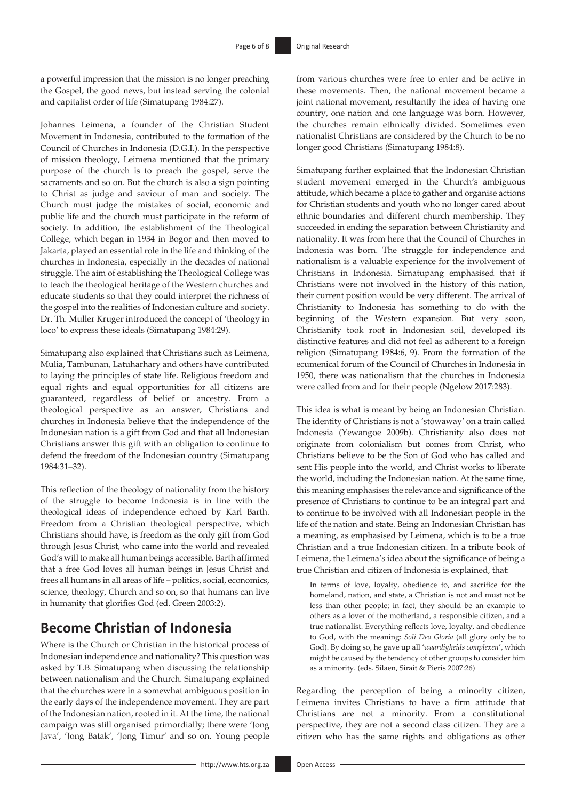a powerful impression that the mission is no longer preaching the Gospel, the good news, but instead serving the colonial and capitalist order of life (Simatupang 1984:27).

Johannes Leimena, a founder of the Christian Student Movement in Indonesia, contributed to the formation of the Council of Churches in Indonesia (D.G.I.). In the perspective of mission theology, Leimena mentioned that the primary purpose of the church is to preach the gospel, serve the sacraments and so on. But the church is also a sign pointing to Christ as judge and saviour of man and society. The Church must judge the mistakes of social, economic and public life and the church must participate in the reform of society. In addition, the establishment of the Theological College, which began in 1934 in Bogor and then moved to Jakarta, played an essential role in the life and thinking of the churches in Indonesia, especially in the decades of national struggle. The aim of establishing the Theological College was to teach the theological heritage of the Western churches and educate students so that they could interpret the richness of the gospel into the realities of Indonesian culture and society. Dr. Th. Muller Kruger introduced the concept of 'theology in loco' to express these ideals (Simatupang 1984:29).

Simatupang also explained that Christians such as Leimena, Mulia, Tambunan, Latuharhary and others have contributed to laying the principles of state life. Religious freedom and equal rights and equal opportunities for all citizens are guaranteed, regardless of belief or ancestry. From a theological perspective as an answer, Christians and churches in Indonesia believe that the independence of the Indonesian nation is a gift from God and that all Indonesian Christians answer this gift with an obligation to continue to defend the freedom of the Indonesian country (Simatupang 1984:31–32).

This reflection of the theology of nationality from the history of the struggle to become Indonesia is in line with the theological ideas of independence echoed by Karl Barth. Freedom from a Christian theological perspective, which Christians should have, is freedom as the only gift from God through Jesus Christ, who came into the world and revealed God's will to make all human beings accessible. Barth affirmed that a free God loves all human beings in Jesus Christ and frees all humans in all areas of life – politics, social, economics, science, theology, Church and so on, so that humans can live in humanity that glorifies God (ed. Green 2003:2).

## **Become Christian of Indonesia**

Where is the Church or Christian in the historical process of Indonesian independence and nationality? This question was asked by T.B. Simatupang when discussing the relationship between nationalism and the Church. Simatupang explained that the churches were in a somewhat ambiguous position in the early days of the independence movement. They are part of the Indonesian nation, rooted in it. At the time, the national campaign was still organised primordially; there were 'Jong Java', 'Jong Batak', 'Jong Timur' and so on. Young people

from various churches were free to enter and be active in these movements. Then, the national movement became a joint national movement, resultantly the idea of having one country, one nation and one language was born. However, the churches remain ethnically divided. Sometimes even nationalist Christians are considered by the Church to be no longer good Christians (Simatupang 1984:8).

Simatupang further explained that the Indonesian Christian student movement emerged in the Church's ambiguous attitude, which became a place to gather and organise actions for Christian students and youth who no longer cared about ethnic boundaries and different church membership. They succeeded in ending the separation between Christianity and nationality. It was from here that the Council of Churches in Indonesia was born. The struggle for independence and nationalism is a valuable experience for the involvement of Christians in Indonesia. Simatupang emphasised that if Christians were not involved in the history of this nation, their current position would be very different. The arrival of Christianity to Indonesia has something to do with the beginning of the Western expansion. But very soon, Christianity took root in Indonesian soil, developed its distinctive features and did not feel as adherent to a foreign religion (Simatupang 1984:6, 9). From the formation of the ecumenical forum of the Council of Churches in Indonesia in 1950, there was nationalism that the churches in Indonesia were called from and for their people (Ngelow 2017:283).

This idea is what is meant by being an Indonesian Christian. The identity of Christians is not a 'stowaway' on a train called Indonesia (Yewangoe 2009b). Christianity also does not originate from colonialism but comes from Christ, who Christians believe to be the Son of God who has called and sent His people into the world, and Christ works to liberate the world, including the Indonesian nation. At the same time, this meaning emphasises the relevance and significance of the presence of Christians to continue to be an integral part and to continue to be involved with all Indonesian people in the life of the nation and state. Being an Indonesian Christian has a meaning, as emphasised by Leimena, which is to be a true Christian and a true Indonesian citizen. In a tribute book of Leimena, the Leimena's idea about the significance of being a true Christian and citizen of Indonesia is explained, that:

In terms of love, loyalty, obedience to, and sacrifice for the homeland, nation, and state, a Christian is not and must not be less than other people; in fact, they should be an example to others as a lover of the motherland, a responsible citizen, and a true nationalist. Everything reflects love, loyalty, and obedience to God, with the meaning: *Soli Deo Gloria* (all glory only be to God). By doing so, he gave up all '*waardigheids complexen*', which might be caused by the tendency of other groups to consider him as a minority. (eds. Silaen, Sirait & Pieris 2007:26)

Regarding the perception of being a minority citizen, Leimena invites Christians to have a firm attitude that Christians are not a minority. From a constitutional perspective, they are not a second class citizen. They are a citizen who has the same rights and obligations as other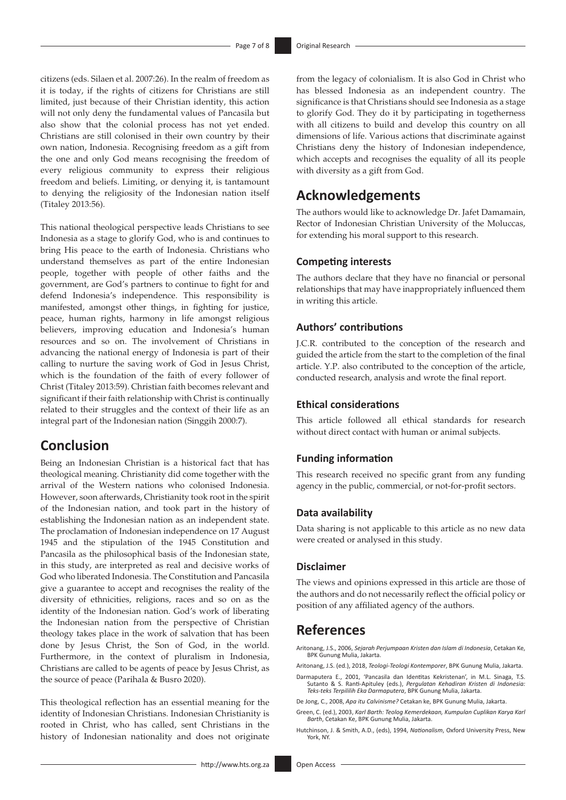citizens (eds. Silaen et al. 2007:26). In the realm of freedom as it is today, if the rights of citizens for Christians are still limited, just because of their Christian identity, this action will not only deny the fundamental values of Pancasila but also show that the colonial process has not yet ended. Christians are still colonised in their own country by their own nation, Indonesia. Recognising freedom as a gift from the one and only God means recognising the freedom of every religious community to express their religious freedom and beliefs. Limiting, or denying it, is tantamount to denying the religiosity of the Indonesian nation itself (Titaley 2013:56).

This national theological perspective leads Christians to see Indonesia as a stage to glorify God, who is and continues to bring His peace to the earth of Indonesia. Christians who understand themselves as part of the entire Indonesian people, together with people of other faiths and the government, are God's partners to continue to fight for and defend Indonesia's independence. This responsibility is manifested, amongst other things, in fighting for justice, peace, human rights, harmony in life amongst religious believers, improving education and Indonesia's human resources and so on. The involvement of Christians in advancing the national energy of Indonesia is part of their calling to nurture the saving work of God in Jesus Christ, which is the foundation of the faith of every follower of Christ (Titaley 2013:59). Christian faith becomes relevant and significant if their faith relationship with Christ is continually related to their struggles and the context of their life as an integral part of the Indonesian nation (Singgih 2000:7).

## **Conclusion**

Being an Indonesian Christian is a historical fact that has theological meaning. Christianity did come together with the arrival of the Western nations who colonised Indonesia. However, soon afterwards, Christianity took root in the spirit of the Indonesian nation, and took part in the history of establishing the Indonesian nation as an independent state. The proclamation of Indonesian independence on 17 August 1945 and the stipulation of the 1945 Constitution and Pancasila as the philosophical basis of the Indonesian state, in this study, are interpreted as real and decisive works of God who liberated Indonesia. The Constitution and Pancasila give a guarantee to accept and recognises the reality of the diversity of ethnicities, religions, races and so on as the identity of the Indonesian nation. God's work of liberating the Indonesian nation from the perspective of Christian theology takes place in the work of salvation that has been done by Jesus Christ, the Son of God, in the world. Furthermore, in the context of pluralism in Indonesia, Christians are called to be agents of peace by Jesus Christ, as the source of peace (Parihala & Busro 2020).

This theological reflection has an essential meaning for the identity of Indonesian Christians. Indonesian Christianity is rooted in Christ, who has called, sent Christians in the history of Indonesian nationality and does not originate from the legacy of colonialism. It is also God in Christ who has blessed Indonesia as an independent country. The significance is that Christians should see Indonesia as a stage to glorify God. They do it by participating in togetherness with all citizens to build and develop this country on all dimensions of life. Various actions that discriminate against Christians deny the history of Indonesian independence, which accepts and recognises the equality of all its people with diversity as a gift from God.

## **Acknowledgements**

The authors would like to acknowledge Dr. Jafet Damamain, Rector of Indonesian Christian University of the Moluccas, for extending his moral support to this research.

#### **Competing interests**

The authors declare that they have no financial or personal relationships that may have inappropriately influenced them in writing this article.

### **Authors' contributions**

J.C.R. contributed to the conception of the research and guided the article from the start to the completion of the final article. Y.P. also contributed to the conception of the article, conducted research, analysis and wrote the final report.

### **Ethical considerations**

This article followed all ethical standards for research without direct contact with human or animal subjects.

### **Funding information**

This research received no specific grant from any funding agency in the public, commercial, or not-for-profit sectors.

### **Data availability**

Data sharing is not applicable to this article as no new data were created or analysed in this study.

### **Disclaimer**

The views and opinions expressed in this article are those of the authors and do not necessarily reflect the official policy or position of any affiliated agency of the authors.

## **References**

- Aritonang, J.S., 2006, *Sejarah Perjumpaan Kristen dan Islam di Indonesia*, Cetakan Ke, BPK Gunung Mulia, Jakarta.
- Aritonang, J.S. (ed.), 2018, *Teologi-Teologi Kontemporer*, BPK Gunung Mulia, Jakarta.
- Darmaputera E., 2001, 'Pancasila dan Identitas Kekristenan', in M.L. Sinaga, T.S. Sutanto & S. Ranti-Apituley (eds.), *Pergulatan Kehadiran Kristen di Indonesia: Teks-teks Terpililih Eka Darmaputera*, BPK Gunung Mulia, Jakarta.
- De Jong, C., 2008, *Apa itu Calvinisme?* Cetakan ke, BPK Gunung Mulia, Jakarta.
- Green, C. (ed.), 2003, *Karl Barth: Teolog Kemerdekaan, Kumpulan Cuplikan Karya Karl Barth*, Cetakan Ke, BPK Gunung Mulia, Jakarta.
- Hutchinson, J. & Smith, A.D., (eds), 1994, *Nationalism*, Oxford University Press, New York, NY.